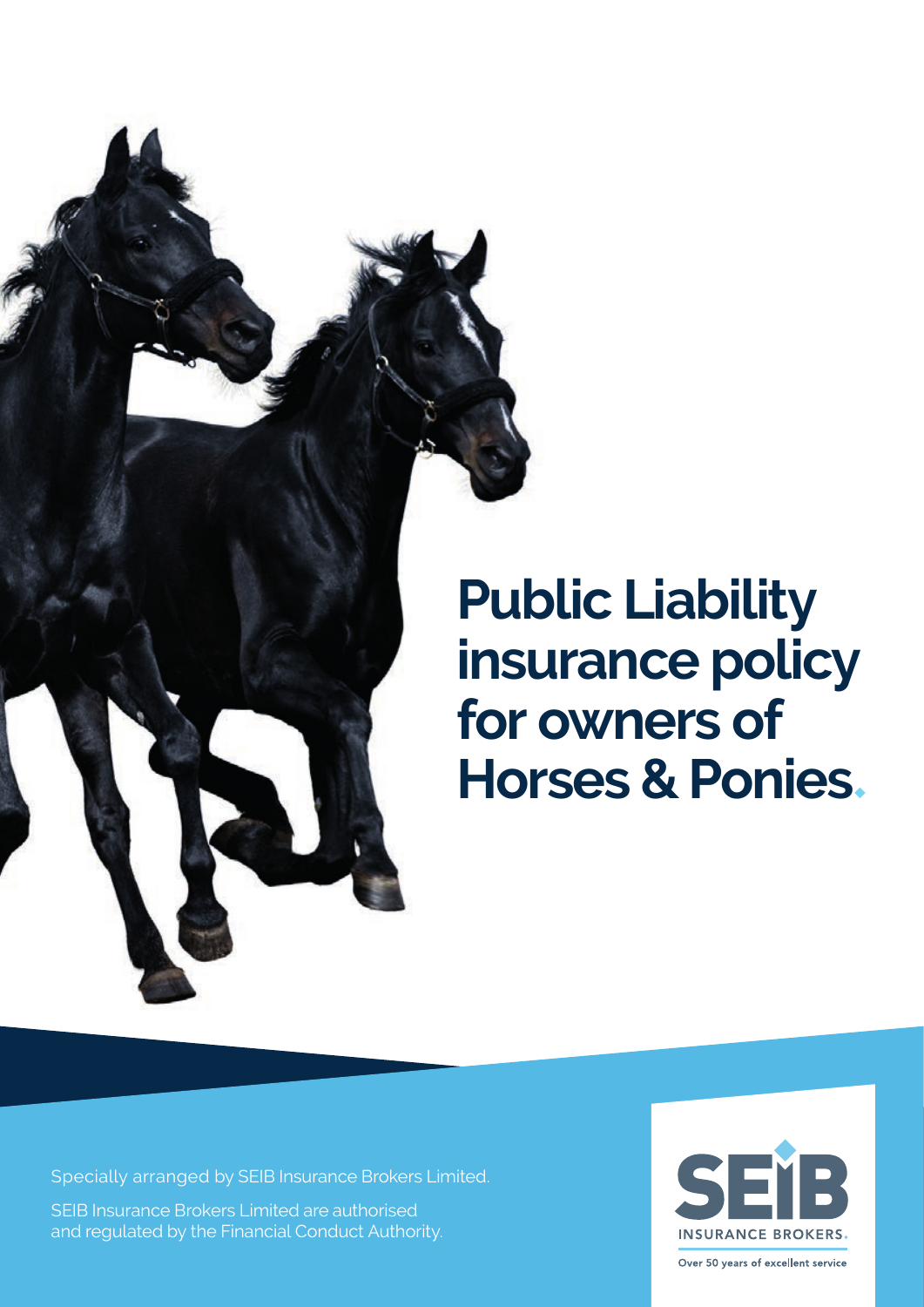

# **Public Liability insurance policy for owners of Horses & Ponies**◆

Specially arranged by SEIB Insurance Brokers Limited. SEIB Insurance Brokers Limited are authorised and regulated by the Financial Conduct Authority.

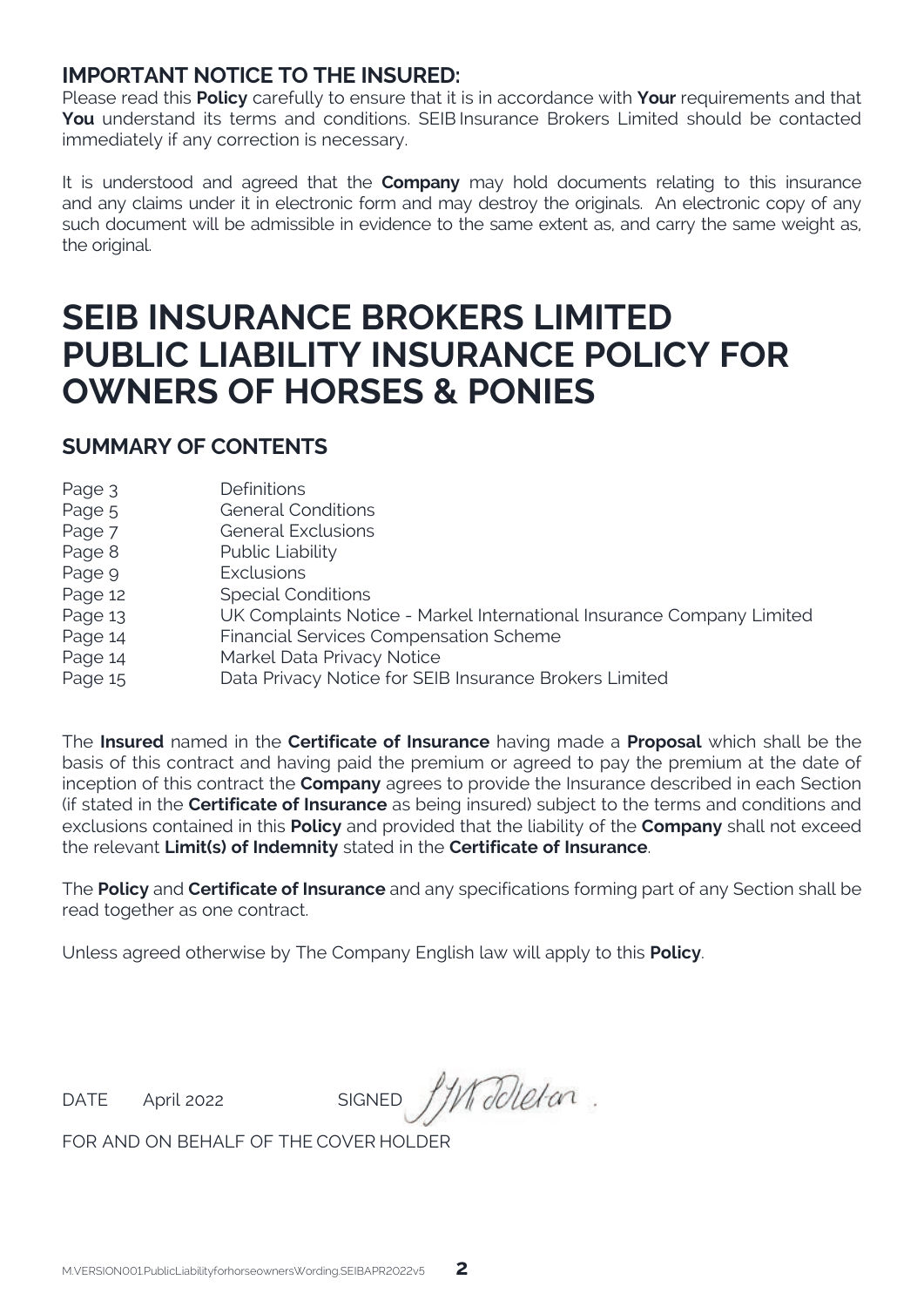## **IMPORTANT NOTICE TO THE INSURED:**

Please read this **Policy** carefully to ensure that it is in accordance with **Your** requirements and that **You** understand its terms and conditions. SEIB Insurance Brokers Limited should be contacted immediately if any correction is necessary.

It is understood and agreed that the **Company** may hold documents relating to this insurance and any claims under it in electronic form and may destroy the originals. An electronic copy of any such document will be admissible in evidence to the same extent as, and carry the same weight as, the original.

## **SEIB INSURANCE BROKERS LIMITED PUBLIC LIABILITY INSURANCE POLICY FOR OWNERS OF HORSES & PONIES**

### **SUMMARY OF CONTENTS**

| Page 3  | <b>Definitions</b>                                                    |
|---------|-----------------------------------------------------------------------|
| Page 5  | <b>General Conditions</b>                                             |
| Page 7  | <b>General Exclusions</b>                                             |
| Page 8  | Public Liability                                                      |
| Page 9  | <b>Exclusions</b>                                                     |
| Page 12 | <b>Special Conditions</b>                                             |
| Page 13 | UK Complaints Notice - Markel International Insurance Company Limited |
| Page 14 | Financial Services Compensation Scheme                                |
| Page 14 | Markel Data Privacy Notice                                            |
| Page 15 | Data Privacy Notice for SEIB Insurance Brokers Limited                |

The **Insured** named in the **Certificate of Insurance** having made a **Proposal** which shall be the basis of this contract and having paid the premium or agreed to pay the premium at the date of inception of this contract the **Company** agrees to provide the Insurance described in each Section (if stated in the **Certificate of Insurance** as being insured) subject to the terms and conditions and exclusions contained in this **Policy** and provided that the liability of the **Company** shall not exceed the relevant **Limit(s) of Indemnity** stated in the **Certificate of Insurance**.

The **Policy** and **Certificate of Insurance** and any specifications forming part of any Section shall be read together as one contract.

Unless agreed otherwise by The Company English law will apply to this **Policy**.

DATE April 2022 SIGNED J/Modleton.

FOR AND ON BEHALF OF THE COVER HOLDER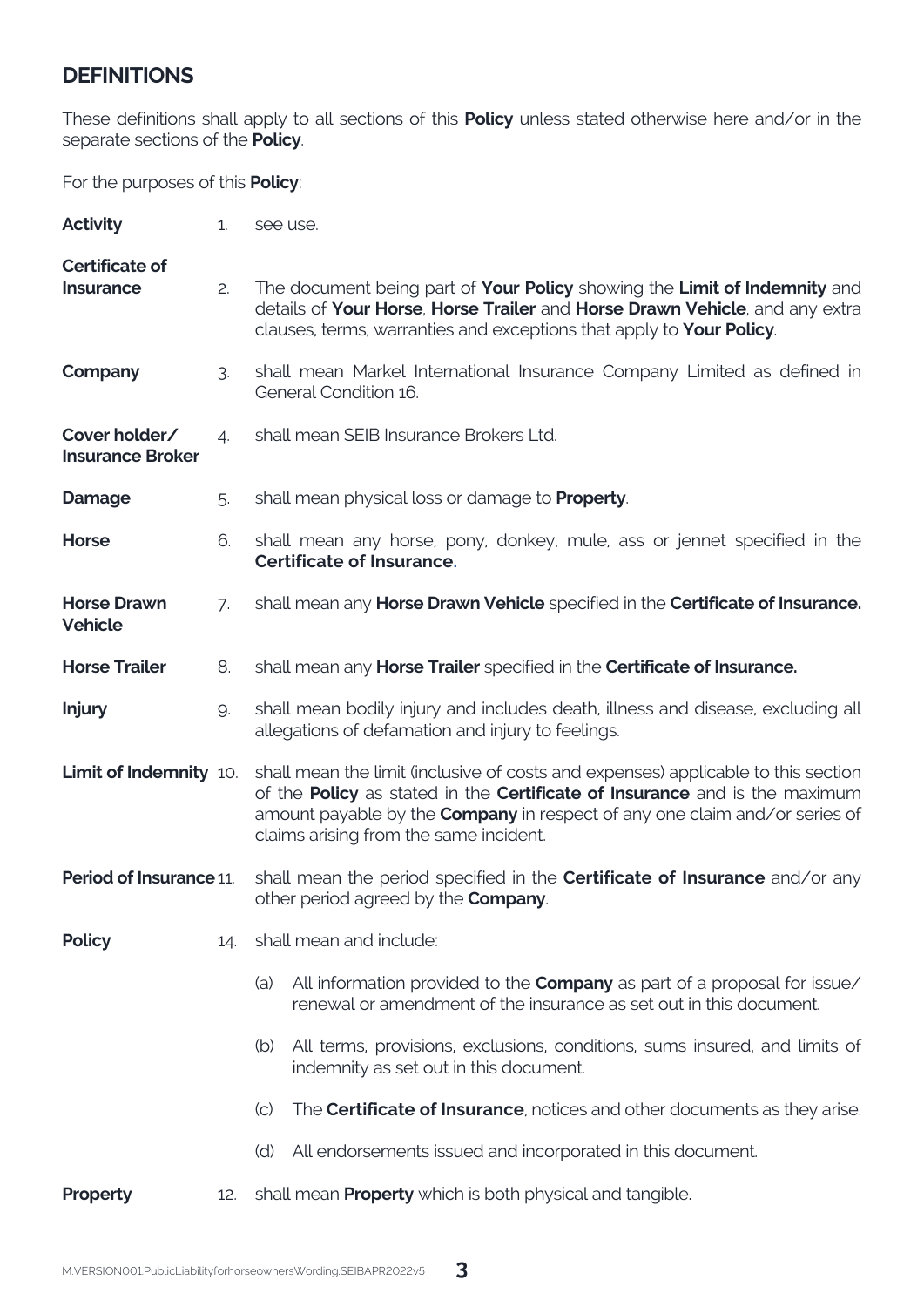## **DEFINITIONS**

These definitions shall apply to all sections of this **Policy** unless stated otherwise here and/or in the separate sections of the **Policy**.

For the purposes of this **Policy**:

| Activity                                 | 1.  | see use.                                                                                                                                                                                                                                                                                       |
|------------------------------------------|-----|------------------------------------------------------------------------------------------------------------------------------------------------------------------------------------------------------------------------------------------------------------------------------------------------|
| Certificate of<br><b>Insurance</b>       | 2.  | The document being part of Your Policy showing the Limit of Indemnity and<br>details of Your Horse, Horse Trailer and Horse Drawn Vehicle, and any extra<br>clauses, terms, warranties and exceptions that apply to Your Policy.                                                               |
| Company                                  | 3.  | shall mean Markel International Insurance Company Limited as defined in<br>General Condition 16.                                                                                                                                                                                               |
| Cover holder/<br><b>Insurance Broker</b> | 4.  | shall mean SEIB Insurance Brokers Ltd.                                                                                                                                                                                                                                                         |
| Damage                                   | 5.  | shall mean physical loss or damage to <b>Property</b> .                                                                                                                                                                                                                                        |
| Horse                                    | 6.  | shall mean any horse, pony, donkey, mule, ass or jennet specified in the<br>Certificate of Insurance.                                                                                                                                                                                          |
| <b>Horse Drawn</b><br>Vehicle            | 7.  | shall mean any Horse Drawn Vehicle specified in the Certificate of Insurance.                                                                                                                                                                                                                  |
| <b>Horse Trailer</b>                     | 8.  | shall mean any Horse Trailer specified in the Certificate of Insurance.                                                                                                                                                                                                                        |
| <b>Injury</b>                            | 9.  | shall mean bodily injury and includes death, illness and disease, excluding all<br>allegations of defamation and injury to feelings.                                                                                                                                                           |
| <b>Limit of Indemnity 10.</b>            |     | shall mean the limit (inclusive of costs and expenses) applicable to this section<br>of the Policy as stated in the Certificate of Insurance and is the maximum<br>amount payable by the <b>Company</b> in respect of any one claim and/or series of<br>claims arising from the same incident. |
| Period of Insurance 11.                  |     | shall mean the period specified in the <b>Certificate of Insurance</b> and/or any<br>other period agreed by the Company.                                                                                                                                                                       |
| Policy                                   | 14. | shall mean and include:                                                                                                                                                                                                                                                                        |
|                                          |     | All information provided to the <b>Company</b> as part of a proposal for issue/<br>(a)<br>renewal or amendment of the insurance as set out in this document.                                                                                                                                   |
|                                          |     | All terms, provisions, exclusions, conditions, sums insured, and limits of<br>(b)<br>indemnity as set out in this document.                                                                                                                                                                    |
|                                          |     | The <b>Certificate of Insurance</b> , notices and other documents as they arise.<br>$\rm (c)$                                                                                                                                                                                                  |
|                                          |     | (d) All endorsements issued and incorporated in this document.                                                                                                                                                                                                                                 |
| Property                                 | 12. | shall mean <b>Property</b> which is both physical and tangible.                                                                                                                                                                                                                                |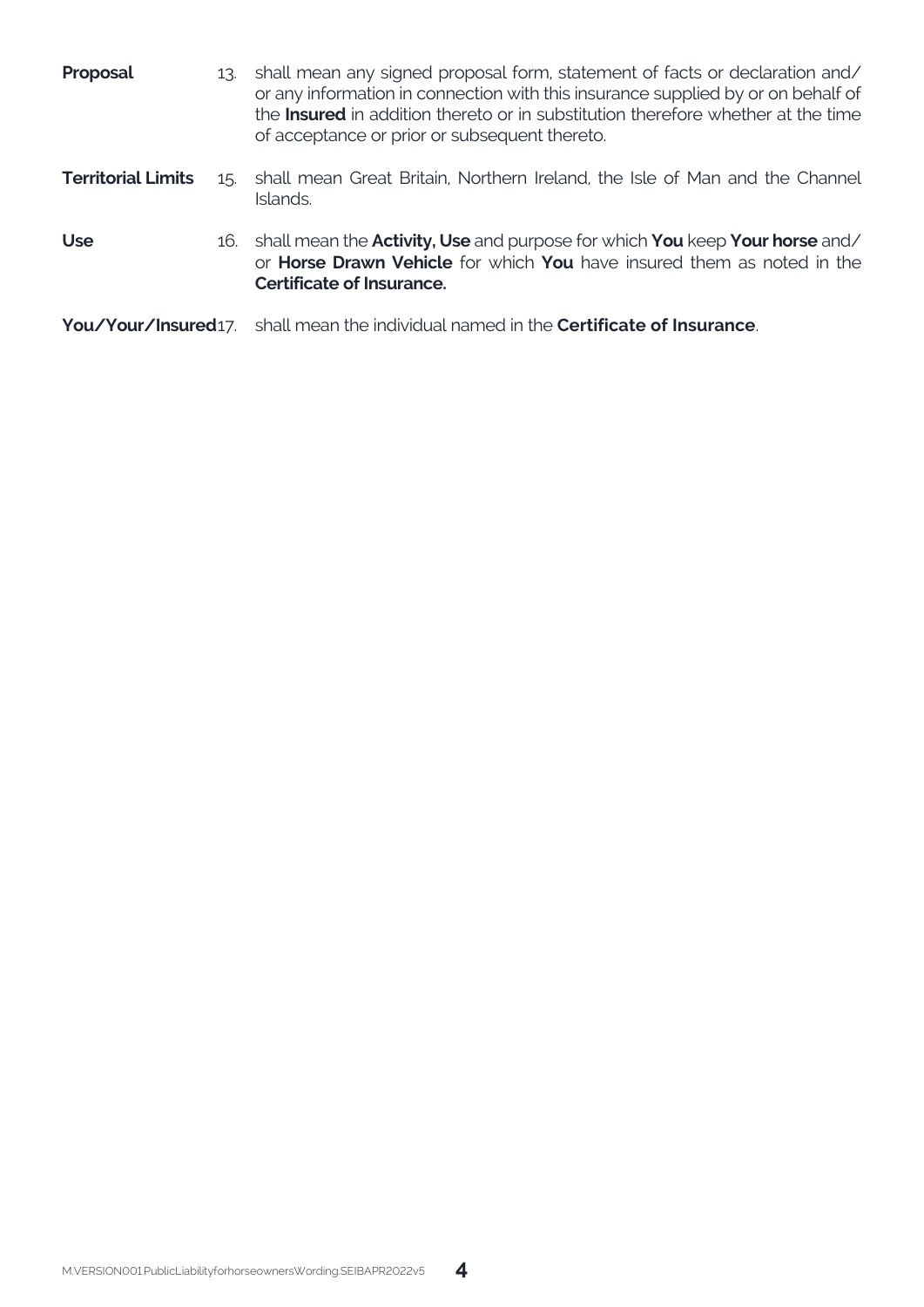| Proposal                  |  | 13. shall mean any signed proposal form, statement of facts or declaration and/<br>or any information in connection with this insurance supplied by or on behalf of<br>the <b>Insured</b> in addition thereto or in substitution therefore whether at the time<br>of acceptance or prior or subsequent thereto. |
|---------------------------|--|-----------------------------------------------------------------------------------------------------------------------------------------------------------------------------------------------------------------------------------------------------------------------------------------------------------------|
| <b>Territorial Limits</b> |  | 15. shall mean Great Britain, Northern Ireland, the Isle of Man and the Channel<br>Islands.                                                                                                                                                                                                                     |
| <b>Use</b>                |  | 16. shall mean the <b>Activity, Use</b> and purpose for which <b>You</b> keep <b>Your horse</b> and/<br>or <b>Horse Drawn Vehicle</b> for which <b>You</b> have insured them as noted in the<br>Certificate of Insurance.                                                                                       |
|                           |  | You/Your/Insured17. shall mean the individual named in the Certificate of Insurance.                                                                                                                                                                                                                            |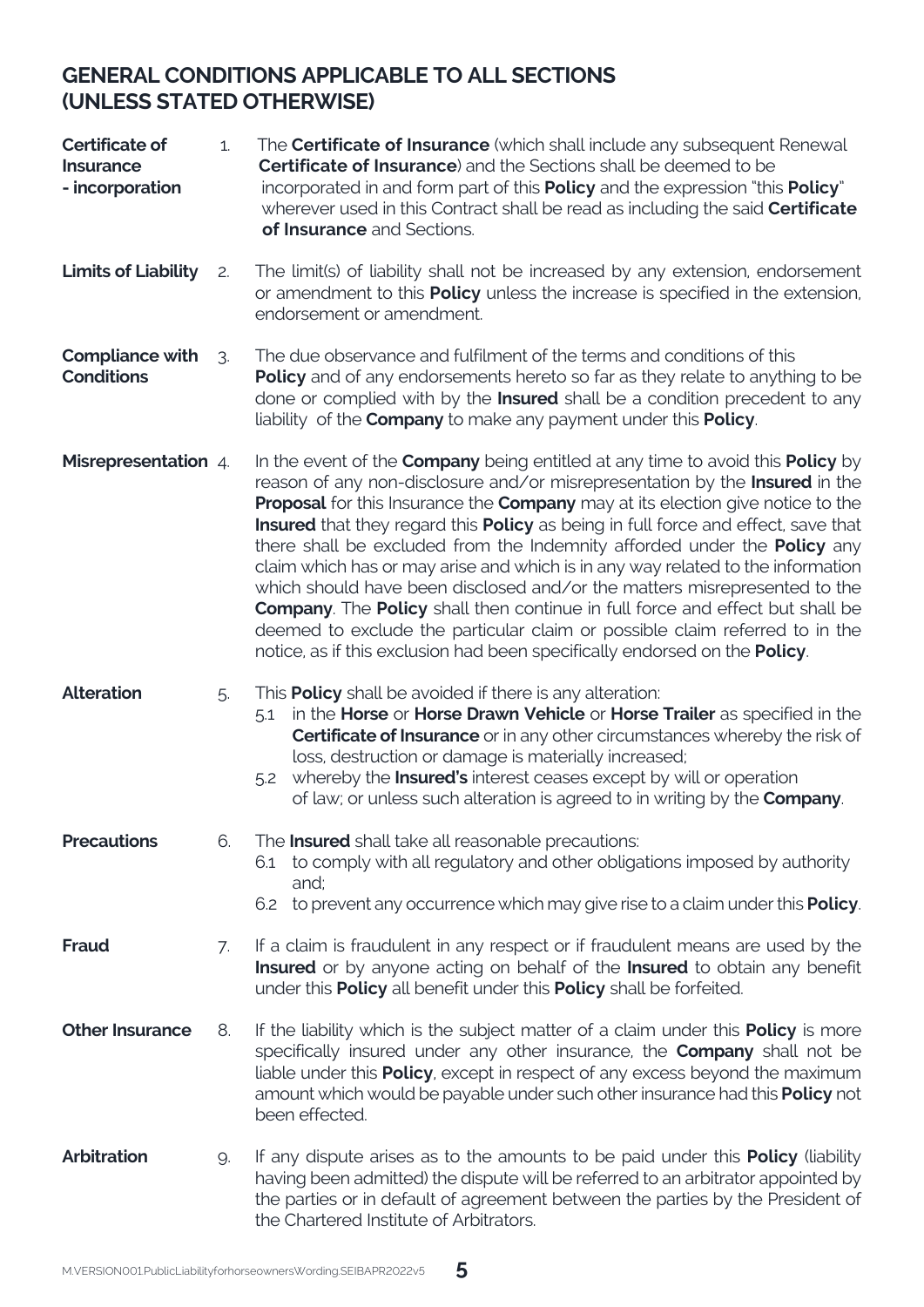## **GENERAL CONDITIONS APPLICABLE TO ALL SECTIONS (UNLESS STATED OTHERWISE)**

| Certificate of<br><b>Insurance</b><br>- incorporation | 1. | The <b>Certificate of Insurance</b> (which shall include any subsequent Renewal<br><b>Certificate of Insurance</b> ) and the Sections shall be deemed to be<br>incorporated in and form part of this <b>Policy</b> and the expression "this <b>Policy</b> "<br>wherever used in this Contract shall be read as including the said <b>Certificate</b><br>of Insurance and Sections.                                                                                                                                                                                                                                                                                                                                                                                                                                                                  |
|-------------------------------------------------------|----|-----------------------------------------------------------------------------------------------------------------------------------------------------------------------------------------------------------------------------------------------------------------------------------------------------------------------------------------------------------------------------------------------------------------------------------------------------------------------------------------------------------------------------------------------------------------------------------------------------------------------------------------------------------------------------------------------------------------------------------------------------------------------------------------------------------------------------------------------------|
| Limits of Liability                                   | 2. | The limit(s) of liability shall not be increased by any extension, endorsement<br>or amendment to this <b>Policy</b> unless the increase is specified in the extension,<br>endorsement or amendment.                                                                                                                                                                                                                                                                                                                                                                                                                                                                                                                                                                                                                                                |
| Compliance with<br><b>Conditions</b>                  | З. | The due observance and fulfilment of the terms and conditions of this<br><b>Policy</b> and of any endorsements hereto so far as they relate to anything to be<br>done or complied with by the Insured shall be a condition precedent to any<br>liability of the Company to make any payment under this Policy.                                                                                                                                                                                                                                                                                                                                                                                                                                                                                                                                      |
| <b>Misrepresentation</b> 4.                           |    | In the event of the <b>Company</b> being entitled at any time to avoid this <b>Policy</b> by<br>reason of any non-disclosure and/or misrepresentation by the Insured in the<br>Proposal for this Insurance the Company may at its election give notice to the<br>Insured that they regard this Policy as being in full force and effect, save that<br>there shall be excluded from the Indemnity afforded under the <b>Policy</b> any<br>claim which has or may arise and which is in any way related to the information<br>which should have been disclosed and/or the matters misrepresented to the<br>Company. The Policy shall then continue in full force and effect but shall be<br>deemed to exclude the particular claim or possible claim referred to in the<br>notice, as if this exclusion had been specifically endorsed on the Policy. |
| <b>Alteration</b>                                     | 5. | This <b>Policy</b> shall be avoided if there is any alteration:<br>in the Horse or Horse Drawn Vehicle or Horse Trailer as specified in the<br>5.1<br>Certificate of Insurance or in any other circumstances whereby the risk of<br>loss, destruction or damage is materially increased;<br>whereby the <b>Insured's</b> interest ceases except by will or operation<br>5.2<br>of law; or unless such alteration is agreed to in writing by the Company.                                                                                                                                                                                                                                                                                                                                                                                            |
| <b>Precautions</b>                                    | 6. | The <b>Insured</b> shall take all reasonable precautions:<br>to comply with all regulatory and other obligations imposed by authority<br>6.1<br>and:<br>6.2 to prevent any occurrence which may give rise to a claim under this <b>Policy</b> .                                                                                                                                                                                                                                                                                                                                                                                                                                                                                                                                                                                                     |
| Fraud                                                 | 7. | If a claim is fraudulent in any respect or if fraudulent means are used by the<br>Insured or by anyone acting on behalf of the Insured to obtain any benefit<br>under this <b>Policy</b> all benefit under this <b>Policy</b> shall be forfeited.                                                                                                                                                                                                                                                                                                                                                                                                                                                                                                                                                                                                   |
| <b>Other Insurance</b>                                | 8. | If the liability which is the subject matter of a claim under this <b>Policy</b> is more<br>specifically insured under any other insurance, the <b>Company</b> shall not be<br>liable under this Policy, except in respect of any excess beyond the maximum<br>amount which would be payable under such other insurance had this Policy not<br>been effected.                                                                                                                                                                                                                                                                                                                                                                                                                                                                                       |
| <b>Arbitration</b>                                    | 9. | If any dispute arises as to the amounts to be paid under this <b>Policy</b> (liability<br>having been admitted) the dispute will be referred to an arbitrator appointed by<br>the parties or in default of agreement between the parties by the President of<br>the Chartered Institute of Arbitrators.                                                                                                                                                                                                                                                                                                                                                                                                                                                                                                                                             |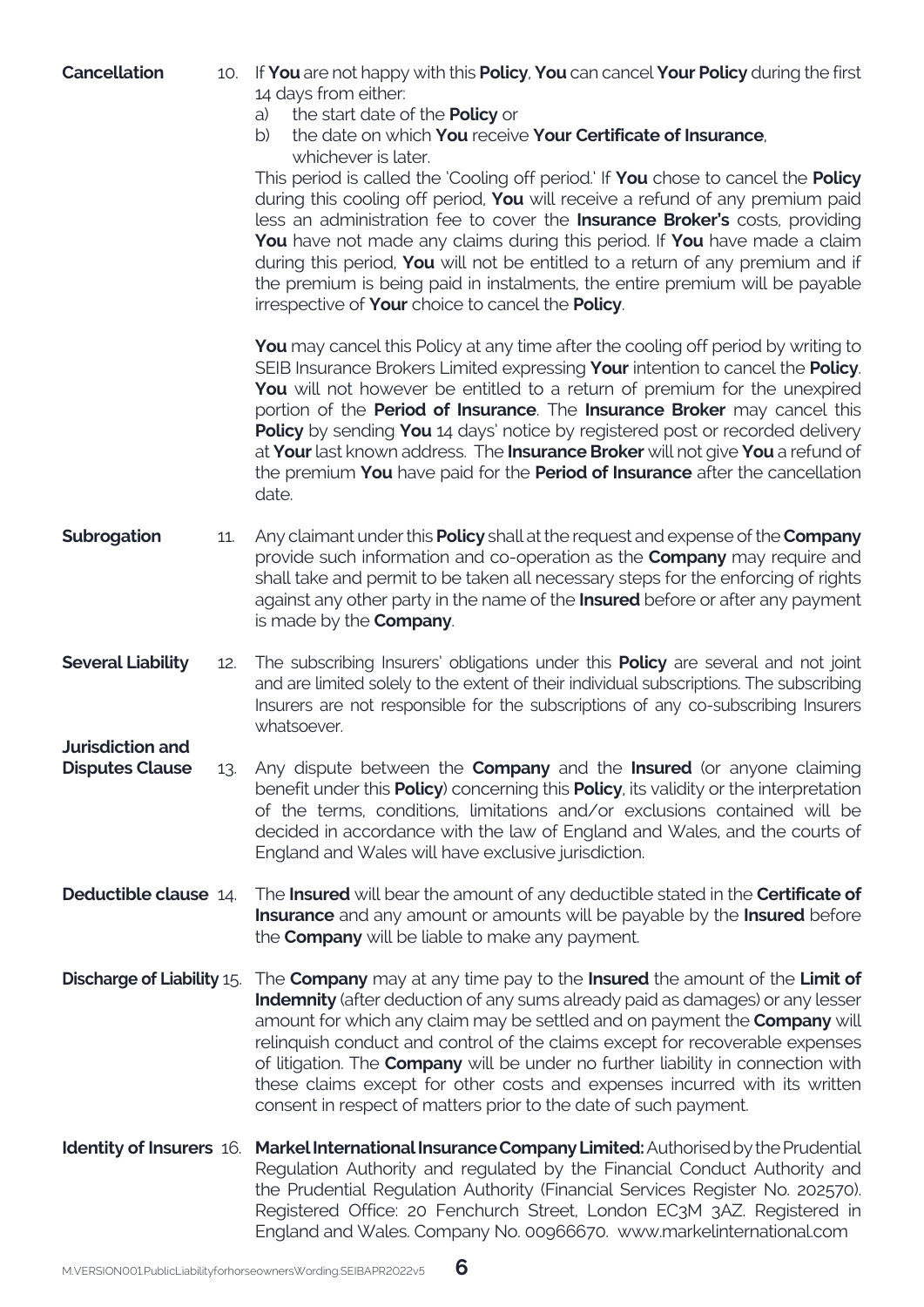| Cancellation                                      |     | 10. If You are not happy with this Policy, You can cancel Your Policy during the first<br>14 days from either:<br>the start date of the <b>Policy</b> or<br>a)<br>the date on which You receive Your Certificate of Insurance,<br>b)<br>whichever is later.<br>This period is called the 'Cooling off period.' If You chose to cancel the Policy<br>during this cooling off period, You will receive a refund of any premium paid<br>less an administration fee to cover the <b>Insurance Broker's</b> costs, providing<br>You have not made any claims during this period. If You have made a claim<br>during this period. You will not be entitled to a return of any premium and if<br>the premium is being paid in instalments, the entire premium will be payable<br>irrespective of Your choice to cancel the Policy. |
|---------------------------------------------------|-----|-----------------------------------------------------------------------------------------------------------------------------------------------------------------------------------------------------------------------------------------------------------------------------------------------------------------------------------------------------------------------------------------------------------------------------------------------------------------------------------------------------------------------------------------------------------------------------------------------------------------------------------------------------------------------------------------------------------------------------------------------------------------------------------------------------------------------------|
|                                                   |     | <b>You</b> may cancel this Policy at any time after the cooling off period by writing to<br>SEIB Insurance Brokers Limited expressing Your intention to cancel the Policy.<br>You will not however be entitled to a return of premium for the unexpired<br>portion of the Period of Insurance. The Insurance Broker may cancel this<br>Policy by sending You 14 days' notice by registered post or recorded delivery<br>at Your last known address. The Insurance Broker will not give You a refund of<br>the premium You have paid for the Period of Insurance after the cancellation<br>date.                                                                                                                                                                                                                             |
| Subrogation                                       | 11. | Any claimant under this <b>Policy</b> shall at the request and expense of the <b>Company</b><br>provide such information and co-operation as the <b>Company</b> may require and<br>shall take and permit to be taken all necessary steps for the enforcing of rights<br>against any other party in the name of the <b>Insured</b> before or after any payment<br>is made by the <b>Company</b> .                                                                                                                                                                                                                                                                                                                                                                                                                            |
| <b>Several Liability</b>                          | 12. | The subscribing Insurers' obligations under this <b>Policy</b> are several and not joint<br>and are limited solely to the extent of their individual subscriptions. The subscribing<br>Insurers are not responsible for the subscriptions of any co-subscribing Insurers<br>whatsoever.                                                                                                                                                                                                                                                                                                                                                                                                                                                                                                                                     |
| <b>Jurisdiction and</b><br><b>Disputes Clause</b> | 13. | Any dispute between the <b>Company</b> and the <b>Insured</b> (or anyone claiming<br>benefit under this <b>Policy</b> ) concerning this <b>Policy</b> , its validity or the interpretation<br>of the terms, conditions, limitations and/or exclusions contained will be<br>decided in accordance with the law of England and Wales, and the courts of<br>England and Wales will have exclusive jurisdiction.                                                                                                                                                                                                                                                                                                                                                                                                                |
| <b>Deductible clause 14.</b>                      |     | The <b>Insured</b> will bear the amount of any deductible stated in the <b>Certificate of</b><br>Insurance and any amount or amounts will be payable by the Insured before<br>the <b>Company</b> will be liable to make any payment.                                                                                                                                                                                                                                                                                                                                                                                                                                                                                                                                                                                        |
|                                                   |     | <b>Discharge of Liability 15.</b> The <b>Company</b> may at any time pay to the <b>Insured</b> the amount of the <b>Limit of</b><br><b>Indemnity</b> (after deduction of any sums already paid as damages) or any lesser<br>amount for which any claim may be settled and on payment the <b>Company</b> will<br>relinquish conduct and control of the claims except for recoverable expenses<br>of litigation. The <b>Company</b> will be under no further liability in connection with<br>these claims except for other costs and expenses incurred with its written<br>consent in respect of matters prior to the date of such payment.                                                                                                                                                                                   |
|                                                   |     | Identity of Insurers 16. Markel International Insurance Company Limited: Authorised by the Prudential<br>Regulation Authority and regulated by the Financial Conduct Authority and<br>the Prudential Regulation Authority (Financial Services Register No. 202570).<br>Registered Office: 20 Fenchurch Street, London EC3M 3AZ. Registered in<br>England and Wales. Company No. 00966670. www.markelinternational.com                                                                                                                                                                                                                                                                                                                                                                                                       |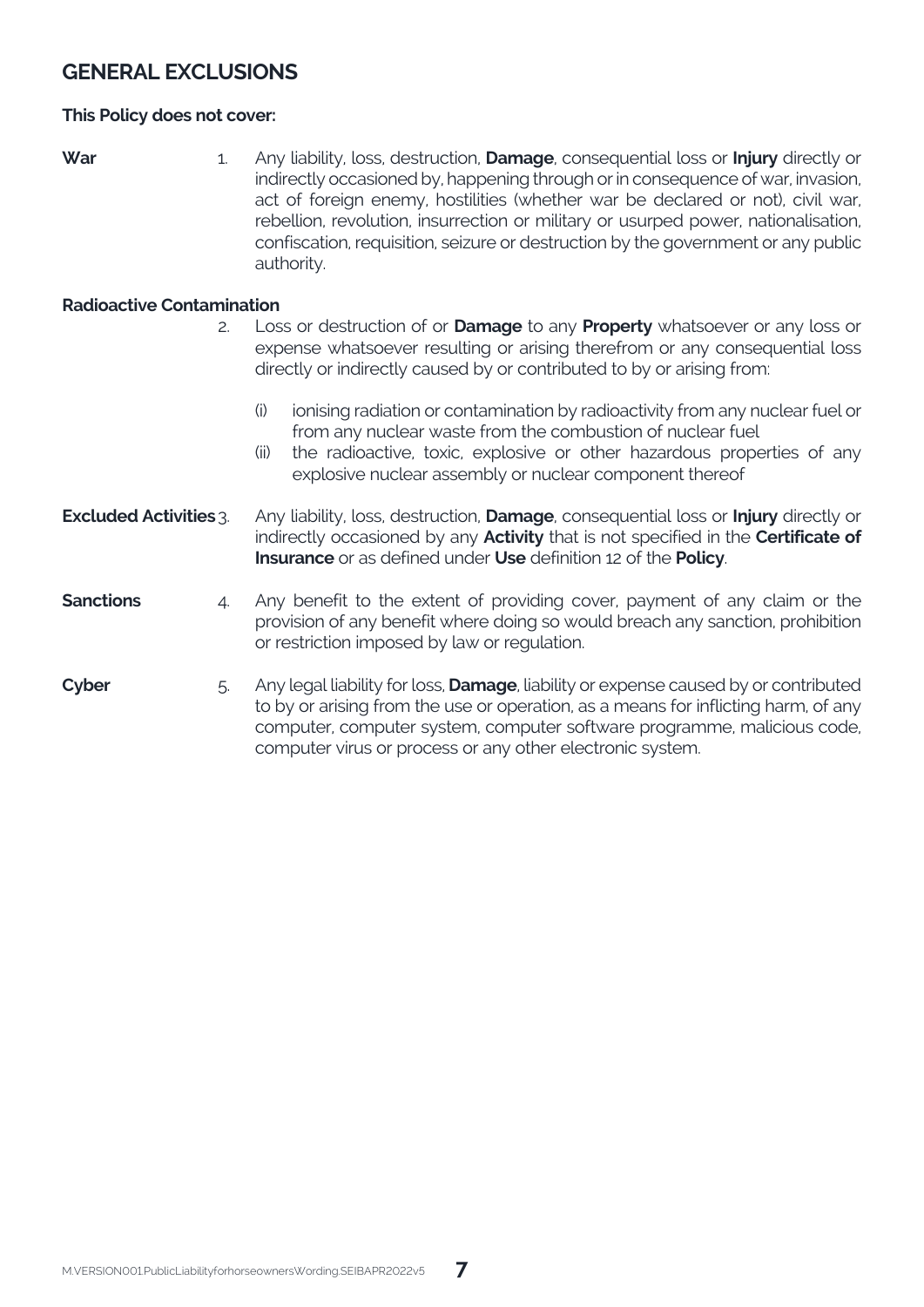## **GENERAL EXCLUSIONS**

#### **This Policy does not cover:**

- 
- **War** 1. Any liability, loss, destruction, **Damage**, consequential loss or **Injury** directly or indirectly occasioned by, happening through or in consequence of war, invasion, act of foreign enemy, hostilities (whether war be declared or not), civil war, rebellion, revolution, insurrection or military or usurped power, nationalisation, confiscation, requisition, seizure or destruction by the government or any public authority.

#### **Radioactive Contamination**

- 2. Loss or destruction of or **Damage** to any **Property** whatsoever or any loss or expense whatsoever resulting or arising therefrom or any consequential loss directly or indirectly caused by or contributed to by or arising from:
	- (i) ionising radiation or contamination by radioactivity from any nuclear fuel or from any nuclear waste from the combustion of nuclear fuel
	- (ii) the radioactive, toxic, explosive or other hazardous properties of any explosive nuclear assembly or nuclear component thereof
- **Excluded Activities**3. Any liability, loss, destruction, **Damage**, consequential loss or **Injury** directly or indirectly occasioned by any **Activity** that is not specified in the **Certificate of Insurance** or as defined under **Use** definition 12 of the **Policy**.
- **Sanctions** 4. Any benefit to the extent of providing cover, payment of any claim or the provision of any benefit where doing so would breach any sanction, prohibition or restriction imposed by law or regulation.
- **Cyber** 5. Any legal liability for loss, **Damage**, liability or expense caused by or contributed to by or arising from the use or operation, as a means for inflicting harm, of any computer, computer system, computer software programme, malicious code, computer virus or process or any other electronic system.

**7**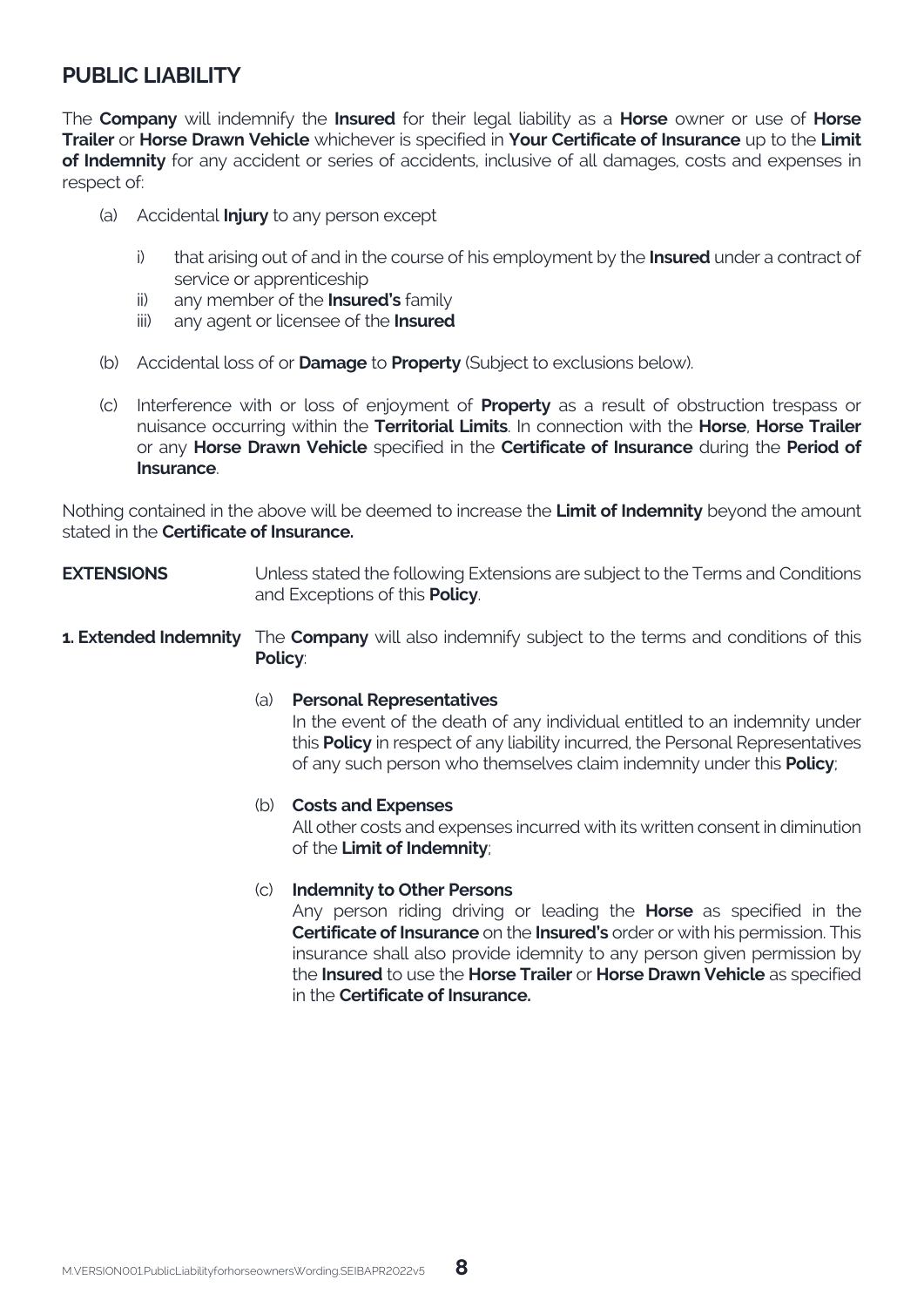## **PUBLIC LIABILITY**

The **Company** will indemnify the **Insured** for their legal liability as a **Horse** owner or use of **Horse Trailer** or **Horse Drawn Vehicle** whichever is specified in **Your Certificate of Insurance** up to the **Limit of Indemnity** for any accident or series of accidents, inclusive of all damages, costs and expenses in respect of:

- (a) Accidental **Injury** to any person except
	- i) that arising out of and in the course of his employment by the **Insured** under a contract of service or apprenticeship
	- ii) any member of the **Insured's** family
	- iii) any agent or licensee of the **Insured**
- (b) Accidental loss of or **Damage** to **Property** (Subject to exclusions below).
- (c) Interference with or loss of enjoyment of **Property** as a result of obstruction trespass or nuisance occurring within the **Territorial Limits**. In connection with the **Horse**, **Horse Trailer** or any **Horse Drawn Vehicle** specified in the **Certificate of Insurance** during the **Period of Insurance**.

Nothing contained in the above will be deemed to increase the **Limit of Indemnity** beyond the amount stated in the **Certificate of Insurance.**

- **EXTENSIONS** Unless stated the following Extensions are subject to the Terms and Conditions and Exceptions of this **Policy**.
- **1. Extended Indemnity** The **Company** will also indemnify subject to the terms and conditions of this **Policy**:

**8**

(a) **Personal Representatives**

In the event of the death of any individual entitled to an indemnity under this **Policy** in respect of any liability incurred, the Personal Representatives of any such person who themselves claim indemnity under this **Policy**;

#### (b) **Costs and Expenses**

All other costs and expenses incurred with its written consent in diminution of the **Limit of Indemnity**;

#### (c) **Indemnity to Other Persons**

Any person riding driving or leading the **Horse** as specified in the **Certificate of Insurance** on the **Insured's** order or with his permission. This insurance shall also provide idemnity to any person given permission by the **Insured** to use the **Horse Trailer** or **Horse Drawn Vehicle** as specified in the **Certificate of Insurance.**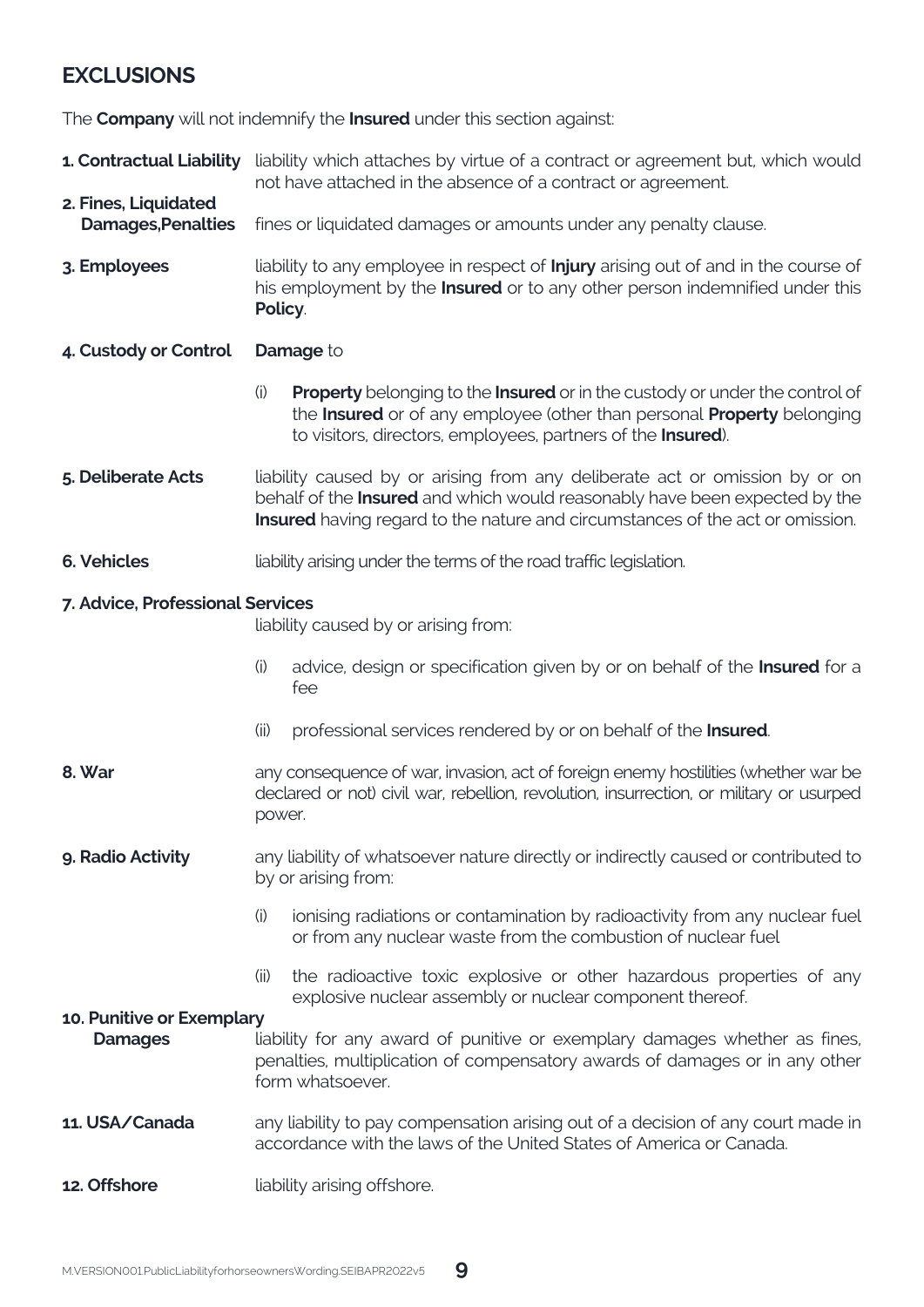## **EXCLUSIONS**

The **Company** will not indemnify the **Insured** under this section against:

**1. Contractual Liability** liability which attaches by virtue of a contract or agreement but, which would not have attached in the absence of a contract or agreement.

#### **2. Fines, Liquidated**  fines or liquidated damages or amounts under any penalty clause.

- **3. Employees** liability to any employee in respect of **Injury** arising out of and in the course of his employment by the **Insured** or to any other person indemnified under this **Policy**.
- **4. Custody or Control Damage** to
	- (i) **Property** belonging to the **Insured** or in the custody or under the control of the **Insured** or of any employee (other than personal **Property** belonging to visitors, directors, employees, partners of the **Insured**).
- **5. Deliberate Acts** liability caused by or arising from any deliberate act or omission by or on behalf of the **Insured** and which would reasonably have been expected by the **Insured** having regard to the nature and circumstances of the act or omission.
- **6. Vehicles** liability arising under the terms of the road traffic legislation.

#### **7. Advice, Professional Services**

liability caused by or arising from:

- (i) advice, design or specification given by or on behalf of the **Insured** for a fee
- (ii) professional services rendered by or on behalf of the **Insured**.
- **8. War** any consequence of war, invasion, act of foreign enemy hostilities (whether war be declared or not) civil war, rebellion, revolution, insurrection, or military or usurped power.
- **9. Radio Activity** any liability of whatsoever nature directly or indirectly caused or contributed to by or arising from:
	- (i) ionising radiations or contamination by radioactivity from any nuclear fuel or from any nuclear waste from the combustion of nuclear fuel
	- (ii) the radioactive toxic explosive or other hazardous properties of any explosive nuclear assembly or nuclear component thereof.

#### **10. Punitive or Exemplary**

**Damages** liability for any award of punitive or exemplary damages whether as fines, penalties, multiplication of compensatory awards of damages or in any other form whatsoever.

#### **11. USA/Canada** any liability to pay compensation arising out of a decision of any court made in accordance with the laws of the United States of America or Canada.

**9**

**12. Offshore** liability arising offshore.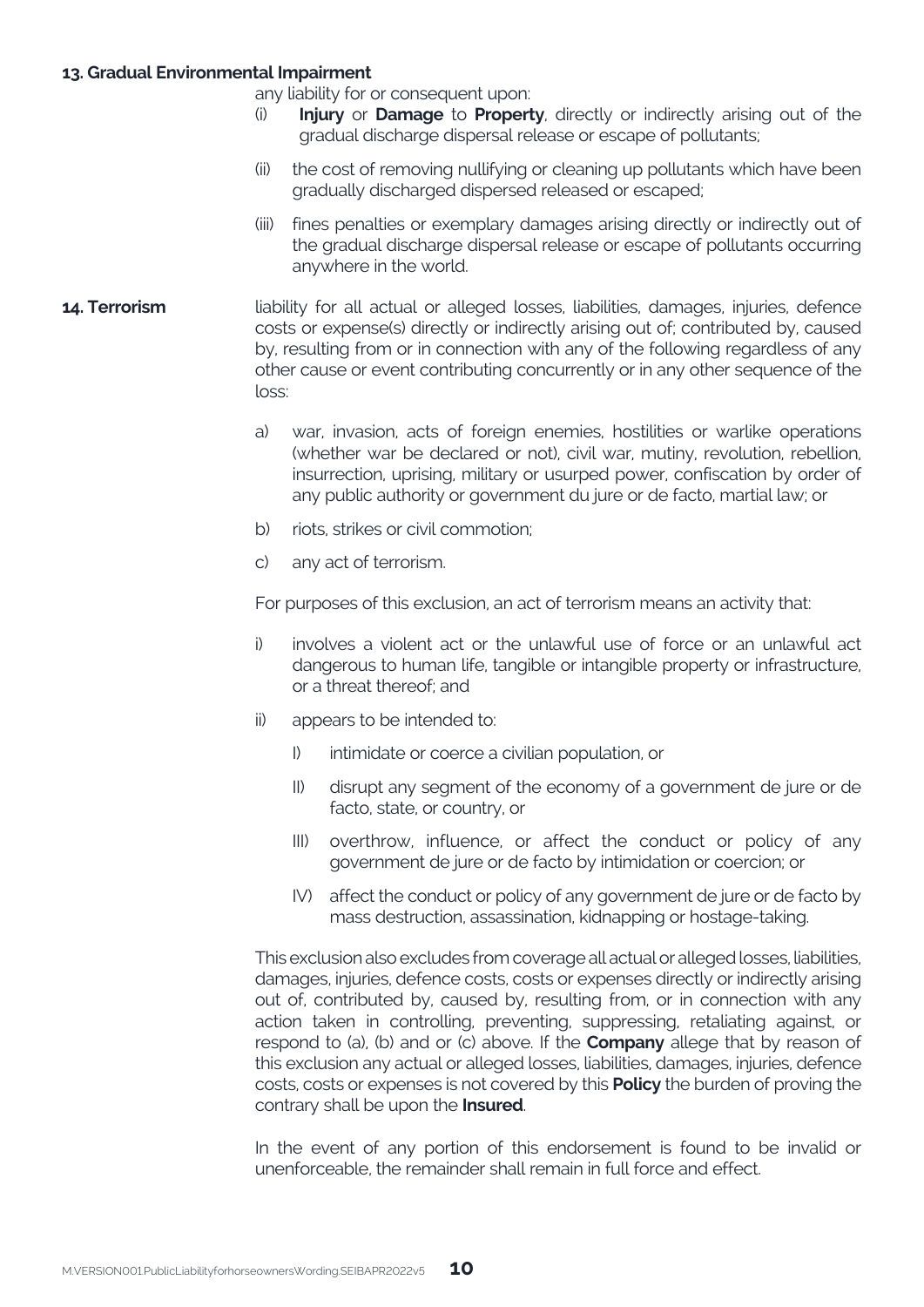#### **13. Gradual Environmental Impairment**

any liability for or consequent upon:

- **Injury** or **Damage** to **Property**, directly or indirectly arising out of the gradual discharge dispersal release or escape of pollutants;
- (ii) the cost of removing nullifying or cleaning up pollutants which have been gradually discharged dispersed released or escaped;
- (iii) fines penalties or exemplary damages arising directly or indirectly out of the gradual discharge dispersal release or escape of pollutants occurring anywhere in the world.
- **14. Terrorism** liability for all actual or alleged losses, liabilities, damages, injuries, defence costs or expense(s) directly or indirectly arising out of; contributed by, caused by, resulting from or in connection with any of the following regardless of any other cause or event contributing concurrently or in any other sequence of the loss:
	- a) war, invasion, acts of foreign enemies, hostilities or warlike operations (whether war be declared or not), civil war, mutiny, revolution, rebellion, insurrection, uprising, military or usurped power, confiscation by order of any public authority or government du jure or de facto, martial law; or
	- b) riots, strikes or civil commotion;
	- c) any act of terrorism.

For purposes of this exclusion, an act of terrorism means an activity that:

- i) involves a violent act or the unlawful use of force or an unlawful act dangerous to human life, tangible or intangible property or infrastructure, or a threat thereof; and
- ii) appears to be intended to:
	- I) intimidate or coerce a civilian population, or
	- II) disrupt any segment of the economy of a government de jure or de facto, state, or country, or
	- III) overthrow, influence, or affect the conduct or policy of any government de jure or de facto by intimidation or coercion; or
	- IV) affect the conduct or policy of any government de jure or de facto by mass destruction, assassination, kidnapping or hostage-taking.

This exclusion also excludes from coverage all actual or alleged losses, liabilities, damages, injuries, defence costs, costs or expenses directly or indirectly arising out of, contributed by, caused by, resulting from, or in connection with any action taken in controlling, preventing, suppressing, retaliating against, or respond to (a), (b) and or (c) above. If the **Company** allege that by reason of this exclusion any actual or alleged losses, liabilities, damages, injuries, defence costs, costs or expenses is not covered by this **Policy** the burden of proving the contrary shall be upon the **Insured**.

In the event of any portion of this endorsement is found to be invalid or unenforceable, the remainder shall remain in full force and effect.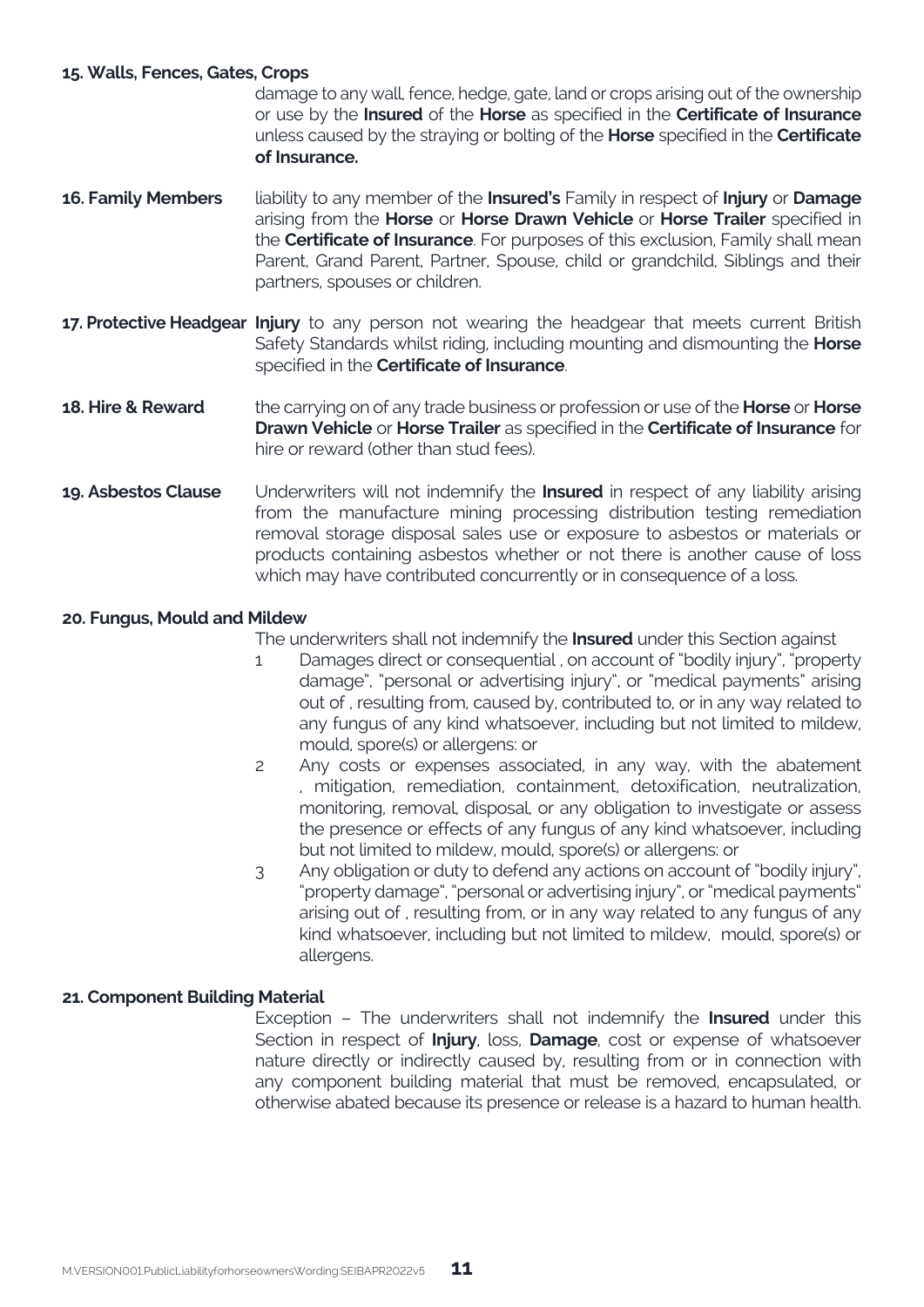#### **15. Walls, Fences, Gates, Crops**

 damage to any wall, fence, hedge, gate, land or crops arising out of the ownership or use by the **Insured** of the **Horse** as specified in the **Certificate of Insurance** unless caused by the straying or bolting of the **Horse** specified in the **Certificate of Insurance.**

- **16. Family Members** liability to any member of the **Insured's** Family in respect of **Injury** or **Damage** arising from the **Horse** or **Horse Drawn Vehicle** or **Horse Trailer** specified in the **Certificate of Insurance**. For purposes of this exclusion, Family shall mean Parent, Grand Parent, Partner, Spouse, child or grandchild, Siblings and their partners, spouses or children.
- **17. Protective Headgear Injury** to any person not wearing the headgear that meets current British Safety Standards whilst riding, including mounting and dismounting the **Horse** specified in the **Certificate of Insurance**.
- **18. Hire & Reward** the carrying on of any trade business or profession or use of the **Horse** or **Horse Drawn Vehicle** or **Horse Trailer** as specified in the **Certificate of Insurance** for hire or reward (other than stud fees).
- **19. Asbestos Clause** Underwriters will not indemnify the **Insured** in respect of any liability arising from the manufacture mining processing distribution testing remediation removal storage disposal sales use or exposure to asbestos or materials or products containing asbestos whether or not there is another cause of loss which may have contributed concurrently or in consequence of a loss.

#### **20. Fungus, Mould and Mildew**

The underwriters shall not indemnify the **Insured** under this Section against

- 1 Damages direct or consequential , on account of "bodily injury", "property damage", "personal or advertising injury", or "medical payments" arising out of , resulting from, caused by, contributed to, or in any way related to any fungus of any kind whatsoever, including but not limited to mildew, mould, spore(s) or allergens: or
- 2 Any costs or expenses associated, in any way, with the abatement , mitigation, remediation, containment, detoxification, neutralization, monitoring, removal, disposal, or any obligation to investigate or assess the presence or effects of any fungus of any kind whatsoever, including but not limited to mildew, mould, spore(s) or allergens: or
- 3 Any obligation or duty to defend any actions on account of "bodily injury", "property damage", "personal or advertising injury", or "medical payments" arising out of , resulting from, or in any way related to any fungus of any kind whatsoever, including but not limited to mildew, mould, spore(s) or allergens.

#### **21. Component Building Material**

Exception – The underwriters shall not indemnify the **Insured** under this Section in respect of **Injury**, loss, **Damage**, cost or expense of whatsoever nature directly or indirectly caused by, resulting from or in connection with any component building material that must be removed, encapsulated, or otherwise abated because its presence or release is a hazard to human health.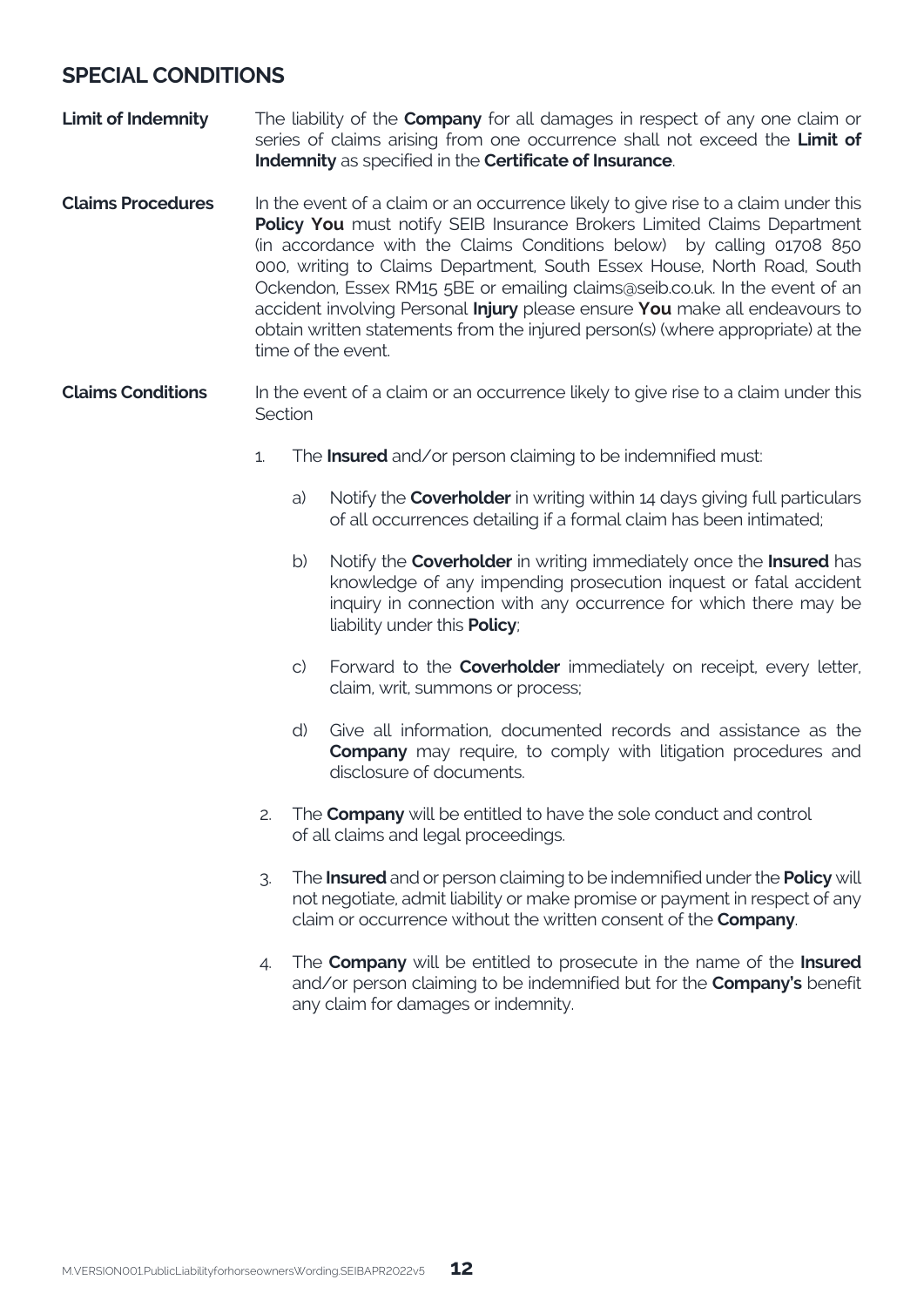## **SPECIAL CONDITIONS**

- **Limit of Indemnity** The liability of the **Company** for all damages in respect of any one claim or series of claims arising from one occurrence shall not exceed the **Limit of Indemnity** as specified in the **Certificate of Insurance**.
- **Claims Procedures** In the event of a claim or an occurrence likely to give rise to a claim under this **Policy You** must notify SEIB Insurance Brokers Limited Claims Department (in accordance with the Claims Conditions below) by calling 01708 850 000, writing to Claims Department, South Essex House, North Road, South Ockendon, Essex RM15 5BE or emailing claims@seib.co.uk. In the event of an accident involving Personal **Injury** please ensure **You** make all endeavours to obtain written statements from the injured person(s) (where appropriate) at the time of the event.
- **Claims Conditions** In the event of a claim or an occurrence likely to give rise to a claim under this Section
	- 1. The **Insured** and/or person claiming to be indemnified must:
		- a) Notify the **Coverholder** in writing within 14 days giving full particulars of all occurrences detailing if a formal claim has been intimated;
		- b) Notify the **Coverholder** in writing immediately once the **Insured** has knowledge of any impending prosecution inquest or fatal accident inquiry in connection with any occurrence for which there may be liability under this **Policy**;
		- c) Forward to the **Coverholder** immediately on receipt, every letter, claim, writ, summons or process;
		- d) Give all information, documented records and assistance as the **Company** may require, to comply with litigation procedures and disclosure of documents.
	- 2. The **Company** will be entitled to have the sole conduct and control of all claims and legal proceedings.
	- 3. The **Insured** and or person claiming to be indemnified under the **Policy** will not negotiate, admit liability or make promise or payment in respect of any claim or occurrence without the written consent of the **Company**.
	- 4. The **Company** will be entitled to prosecute in the name of the **Insured** and/or person claiming to be indemnified but for the **Company's** benefit any claim for damages or indemnity.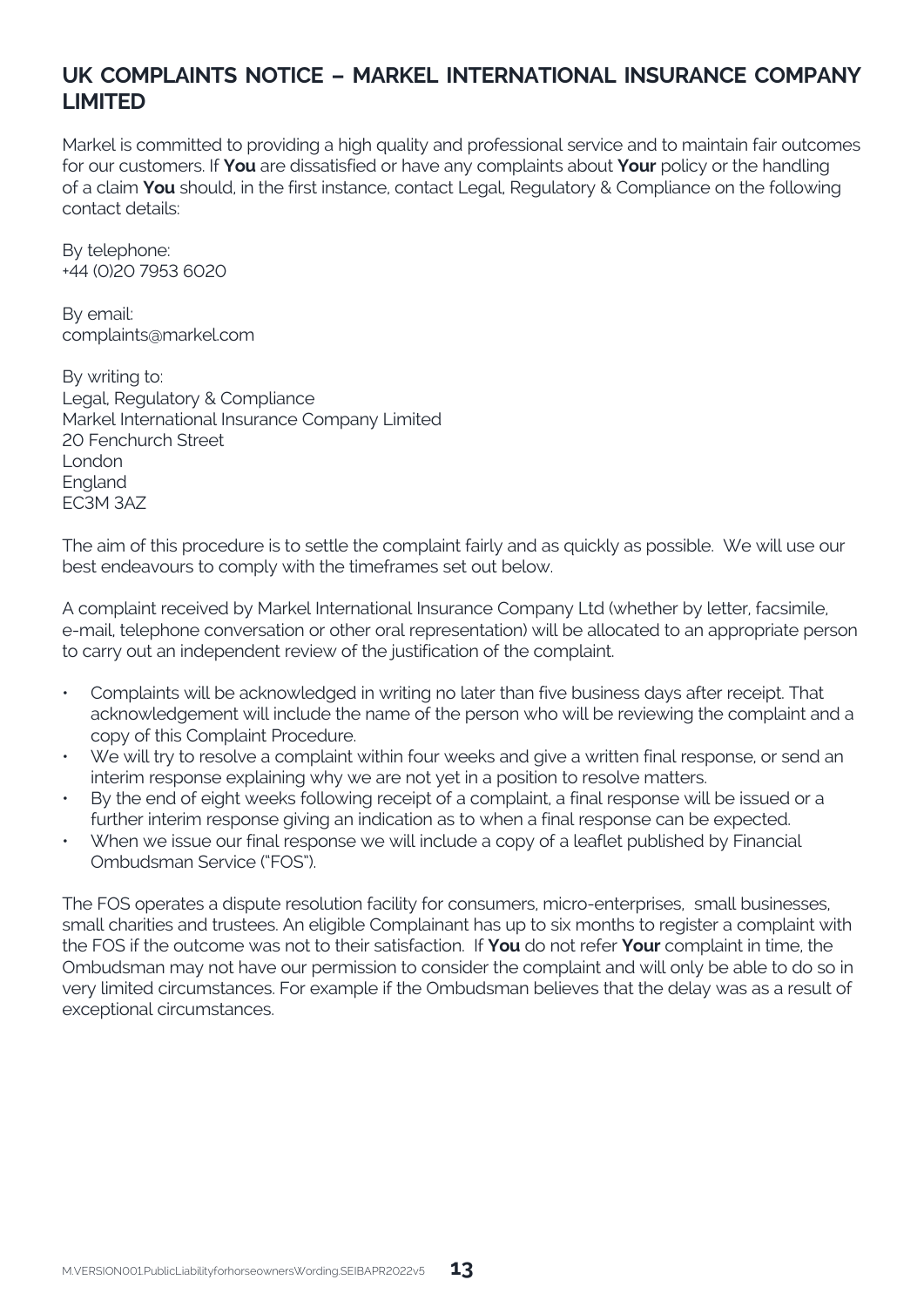## **UK COMPLAINTS NOTICE – MARKEL INTERNATIONAL INSURANCE COMPANY LIMITED**

Markel is committed to providing a high quality and professional service and to maintain fair outcomes for our customers. If **You** are dissatisfied or have any complaints about **Your** policy or the handling of a claim **You** should, in the first instance, contact Legal, Regulatory & Compliance on the following contact details:

By telephone: +44 (0)20 7953 6020

By email: complaints@markel.com

By writing to: Legal, Regulatory & Compliance Markel International Insurance Company Limited 20 Fenchurch Street London **England** EC3M 3AZ

The aim of this procedure is to settle the complaint fairly and as quickly as possible. We will use our best endeavours to comply with the timeframes set out below.

A complaint received by Markel International Insurance Company Ltd (whether by letter, facsimile, e-mail, telephone conversation or other oral representation) will be allocated to an appropriate person to carry out an independent review of the justification of the complaint.

- Complaints will be acknowledged in writing no later than five business days after receipt. That acknowledgement will include the name of the person who will be reviewing the complaint and a copy of this Complaint Procedure.
- We will try to resolve a complaint within four weeks and give a written final response, or send an interim response explaining why we are not yet in a position to resolve matters.
- By the end of eight weeks following receipt of a complaint, a final response will be issued or a further interim response giving an indication as to when a final response can be expected.
- When we issue our final response we will include a copy of a leaflet published by Financial Ombudsman Service ("FOS").

The FOS operates a dispute resolution facility for consumers, micro-enterprises, small businesses, small charities and trustees. An eligible Complainant has up to six months to register a complaint with the FOS if the outcome was not to their satisfaction. If **You** do not refer **Your** complaint in time, the Ombudsman may not have our permission to consider the complaint and will only be able to do so in very limited circumstances. For example if the Ombudsman believes that the delay was as a result of exceptional circumstances.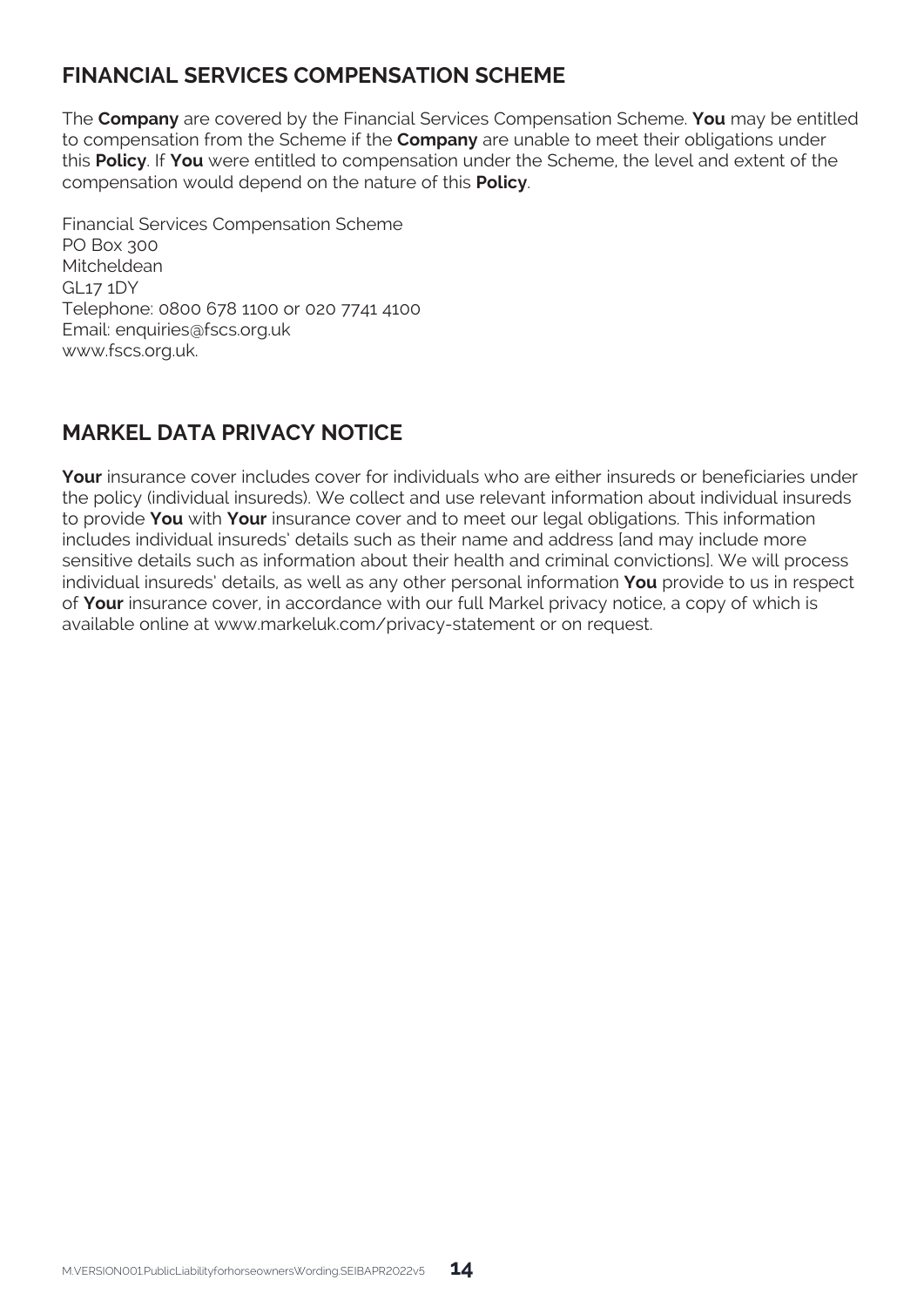## **FINANCIAL SERVICES COMPENSATION SCHEME**

The **Company** are covered by the Financial Services Compensation Scheme. **You** may be entitled to compensation from the Scheme if the **Company** are unable to meet their obligations under this **Policy**. If **You** were entitled to compensation under the Scheme, the level and extent of the compensation would depend on the nature of this **Policy**.

Financial Services Compensation Scheme PO Box 300 Mitcheldean GL17 1DY Telephone: 0800 678 1100 or 020 7741 4100 Email: enquiries@fscs.org.uk www.fscs.org.uk.

## **MARKEL DATA PRIVACY NOTICE**

**Your** insurance cover includes cover for individuals who are either insureds or beneficiaries under the policy (individual insureds). We collect and use relevant information about individual insureds to provide **You** with **Your** insurance cover and to meet our legal obligations. This information includes individual insureds' details such as their name and address [and may include more sensitive details such as information about their health and criminal convictions]. We will process individual insureds' details, as well as any other personal information **You** provide to us in respect of **Your** insurance cover, in accordance with our full Markel privacy notice, a copy of which is available online at www.markeluk.com/privacy-statement or on request.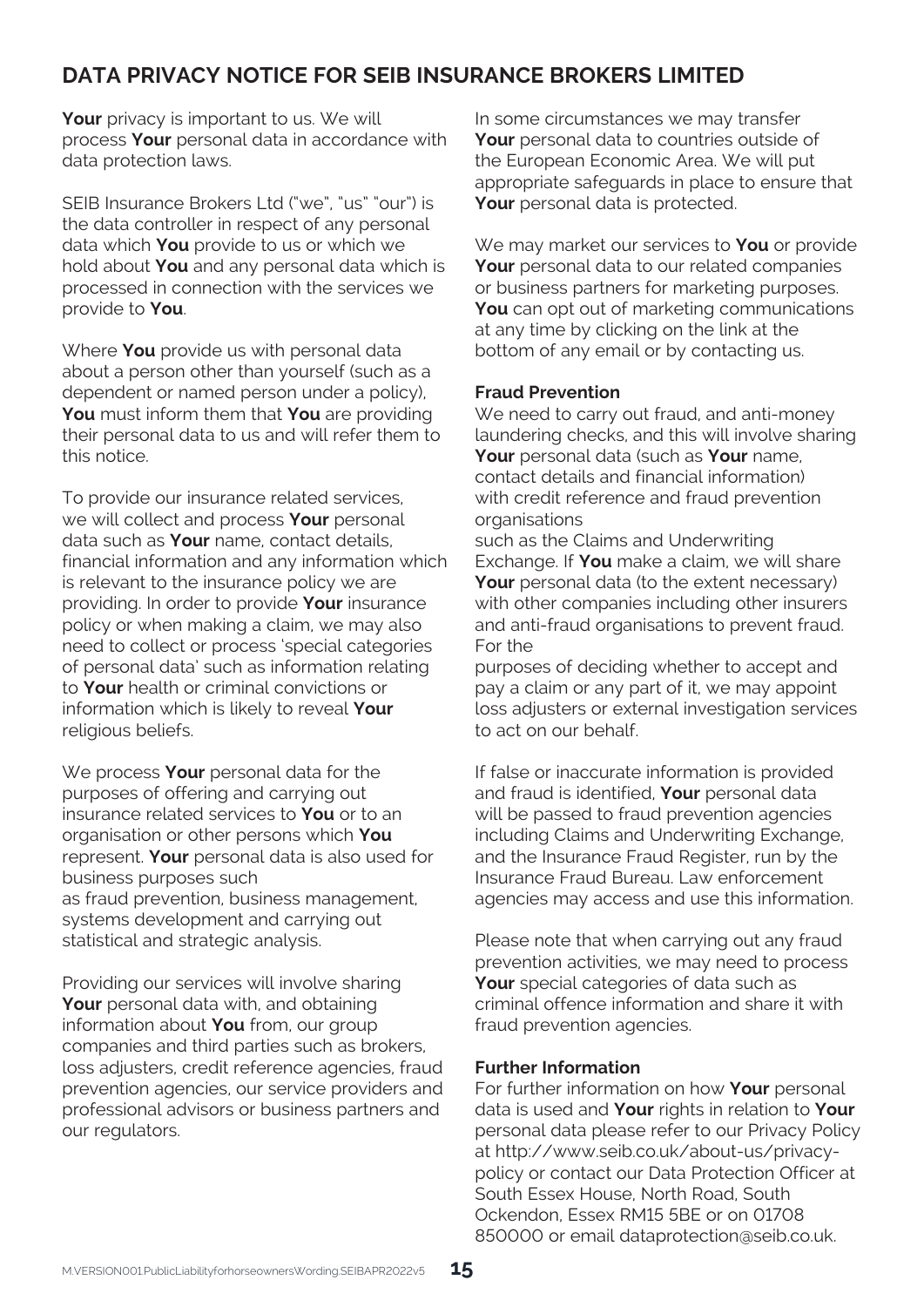## **DATA PRIVACY NOTICE FOR SEIB INSURANCE BROKERS LIMITED**

Your privacy is important to us. We will process **Your** personal data in accordance with data protection laws.

SEIB Insurance Brokers Ltd ("we", "us" "our") is the data controller in respect of any personal data which **You** provide to us or which we hold about **You** and any personal data which is processed in connection with the services we provide to **You**.

Where **You** provide us with personal data about a person other than yourself (such as a dependent or named person under a policy), **You** must inform them that **You** are providing their personal data to us and will refer them to this notice.

To provide our insurance related services, we will collect and process **Your** personal data such as **Your** name, contact details, financial information and any information which is relevant to the insurance policy we are providing. In order to provide **Your** insurance policy or when making a claim, we may also need to collect or process 'special categories of personal data' such as information relating to **Your** health or criminal convictions or information which is likely to reveal **Your** religious beliefs.

We process **Your** personal data for the purposes of offering and carrying out insurance related services to **You** or to an organisation or other persons which **You** represent. **Your** personal data is also used for business purposes such as fraud prevention, business management, systems development and carrying out statistical and strategic analysis.

Providing our services will involve sharing **Your** personal data with, and obtaining information about **You** from, our group companies and third parties such as brokers, loss adjusters, credit reference agencies, fraud prevention agencies, our service providers and professional advisors or business partners and our regulators.

In some circumstances we may transfer **Your** personal data to countries outside of the European Economic Area. We will put appropriate safeguards in place to ensure that **Your** personal data is protected.

We may market our services to **You** or provide **Your** personal data to our related companies or business partners for marketing purposes. **You** can opt out of marketing communications at any time by clicking on the link at the bottom of any email or by contacting us.

#### **Fraud Prevention**

We need to carry out fraud, and anti-money laundering checks, and this will involve sharing **Your** personal data (such as **Your** name, contact details and financial information) with credit reference and fraud prevention organisations

such as the Claims and Underwriting Exchange. If **You** make a claim, we will share **Your** personal data (to the extent necessary) with other companies including other insurers and anti-fraud organisations to prevent fraud. For the

purposes of deciding whether to accept and pay a claim or any part of it, we may appoint loss adjusters or external investigation services to act on our behalf.

If false or inaccurate information is provided and fraud is identified, **Your** personal data will be passed to fraud prevention agencies including Claims and Underwriting Exchange, and the Insurance Fraud Register, run by the Insurance Fraud Bureau. Law enforcement agencies may access and use this information.

Please note that when carrying out any fraud prevention activities, we may need to process **Your** special categories of data such as criminal offence information and share it with fraud prevention agencies.

#### **Further Information**

For further information on how **Your** personal data is used and **Your** rights in relation to **Your** personal data please refer to our Privacy Policy at http://www.seib.co.uk/about-us/privacypolicy or contact our Data Protection Officer at South Essex House, North Road, South Ockendon, Essex RM15 5BE or on 01708 850000 or email dataprotection@seib.co.uk.